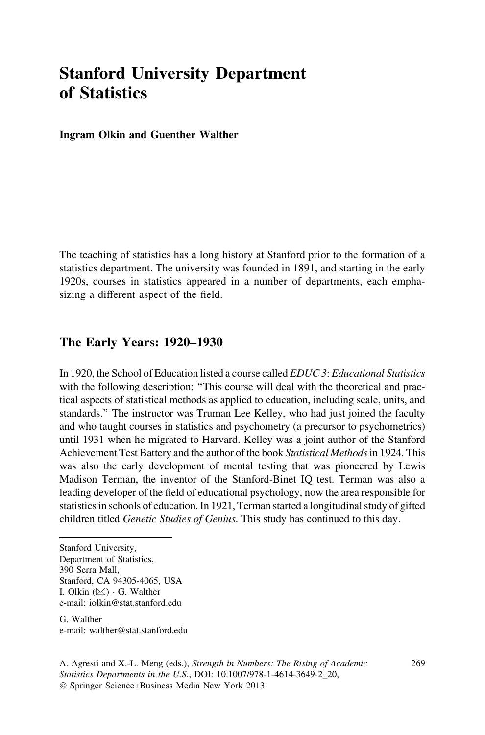# Stanford University Department of Statistics

Ingram Olkin and Guenther Walther

The teaching of statistics has a long history at Stanford prior to the formation of a statistics department. The university was founded in 1891, and starting in the early 1920s, courses in statistics appeared in a number of departments, each emphasizing a different aspect of the field.

## The Early Years: 1920–1930

In 1920, the School of Education listed a course called EDUC 3: Educational Statistics with the following description: "This course will deal with the theoretical and practical aspects of statistical methods as applied to education, including scale, units, and standards.'' The instructor was Truman Lee Kelley, who had just joined the faculty and who taught courses in statistics and psychometry (a precursor to psychometrics) until 1931 when he migrated to Harvard. Kelley was a joint author of the Stanford Achievement Test Battery and the author of the book Statistical Methods in 1924. This was also the early development of mental testing that was pioneered by Lewis Madison Terman, the inventor of the Stanford-Binet IQ test. Terman was also a leading developer of the field of educational psychology, now the area responsible for statistics in schools of education. In 1921, Terman started a longitudinal study of gifted children titled Genetic Studies of Genius. This study has continued to this day.

Stanford University, Department of Statistics, 390 Serra Mall, Stanford, CA 94305-4065, USA I. Olkin  $(\boxtimes) \cdot G$ . Walther e-mail: iolkin@stat.stanford.edu

G. Walther e-mail: walther@stat.stanford.edu

A. Agresti and X.-L. Meng (eds.), Strength in Numbers: The Rising of Academic Statistics Departments in the U.S., DOI: 10.1007/978-1-4614-3649-2\_20, - Springer Science+Business Media New York 2013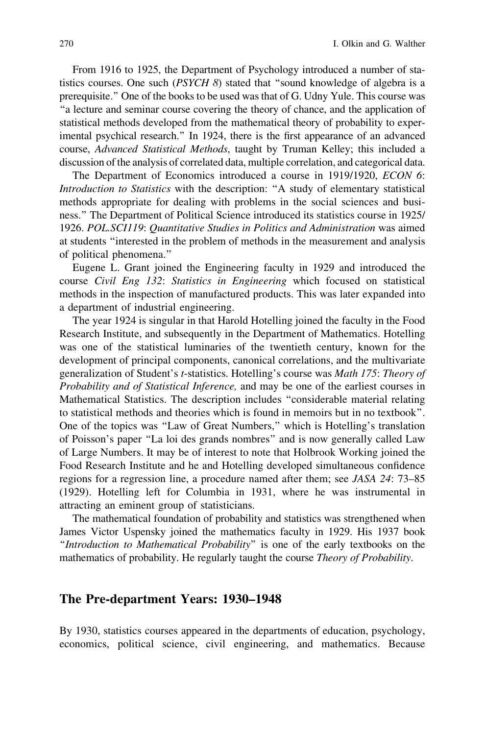From 1916 to 1925, the Department of Psychology introduced a number of statistics courses. One such (PSYCH 8) stated that ''sound knowledge of algebra is a prerequisite.'' One of the books to be used was that of G. Udny Yule. This course was ''a lecture and seminar course covering the theory of chance, and the application of statistical methods developed from the mathematical theory of probability to experimental psychical research.'' In 1924, there is the first appearance of an advanced course, Advanced Statistical Methods, taught by Truman Kelley; this included a discussion of the analysis of correlated data, multiple correlation, and categorical data.

The Department of Economics introduced a course in 1919/1920, ECON 6: Introduction to Statistics with the description: ''A study of elementary statistical methods appropriate for dealing with problems in the social sciences and business.'' The Department of Political Science introduced its statistics course in 1925/ 1926. POL.SCI119: Quantitative Studies in Politics and Administration was aimed at students ''interested in the problem of methods in the measurement and analysis of political phenomena.''

Eugene L. Grant joined the Engineering faculty in 1929 and introduced the course Civil Eng 132: Statistics in Engineering which focused on statistical methods in the inspection of manufactured products. This was later expanded into a department of industrial engineering.

The year 1924 is singular in that Harold Hotelling joined the faculty in the Food Research Institute, and subsequently in the Department of Mathematics. Hotelling was one of the statistical luminaries of the twentieth century, known for the development of principal components, canonical correlations, and the multivariate generalization of Student's t-statistics. Hotelling's course was Math 175: Theory of Probability and of Statistical Inference, and may be one of the earliest courses in Mathematical Statistics. The description includes ''considerable material relating to statistical methods and theories which is found in memoirs but in no textbook''. One of the topics was ''Law of Great Numbers,'' which is Hotelling's translation of Poisson's paper ''La loi des grands nombres'' and is now generally called Law of Large Numbers. It may be of interest to note that Holbrook Working joined the Food Research Institute and he and Hotelling developed simultaneous confidence regions for a regression line, a procedure named after them; see JASA 24: 73–85 (1929). Hotelling left for Columbia in 1931, where he was instrumental in attracting an eminent group of statisticians.

The mathematical foundation of probability and statistics was strengthened when James Victor Uspensky joined the mathematics faculty in 1929. His 1937 book "Introduction to Mathematical Probability" is one of the early textbooks on the mathematics of probability. He regularly taught the course Theory of Probability.

#### The Pre-department Years: 1930–1948

By 1930, statistics courses appeared in the departments of education, psychology, economics, political science, civil engineering, and mathematics. Because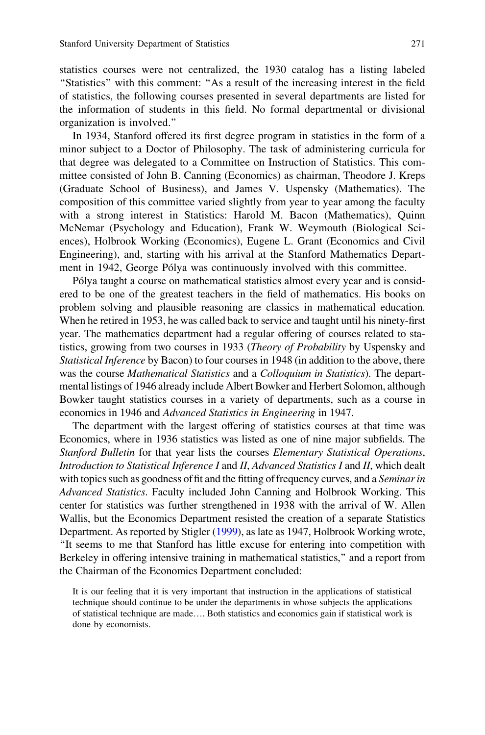statistics courses were not centralized, the 1930 catalog has a listing labeled ''Statistics'' with this comment: ''As a result of the increasing interest in the field of statistics, the following courses presented in several departments are listed for the information of students in this field. No formal departmental or divisional organization is involved.''

In 1934, Stanford offered its first degree program in statistics in the form of a minor subject to a Doctor of Philosophy. The task of administering curricula for that degree was delegated to a Committee on Instruction of Statistics. This committee consisted of John B. Canning (Economics) as chairman, Theodore J. Kreps (Graduate School of Business), and James V. Uspensky (Mathematics). The composition of this committee varied slightly from year to year among the faculty with a strong interest in Statistics: Harold M. Bacon (Mathematics), Quinn McNemar (Psychology and Education), Frank W. Weymouth (Biological Sciences), Holbrook Working (Economics), Eugene L. Grant (Economics and Civil Engineering), and, starting with his arrival at the Stanford Mathematics Department in 1942, George Pólya was continuously involved with this committee.

Pólya taught a course on mathematical statistics almost every year and is considered to be one of the greatest teachers in the field of mathematics. His books on problem solving and plausible reasoning are classics in mathematical education. When he retired in 1953, he was called back to service and taught until his ninety-first year. The mathematics department had a regular offering of courses related to statistics, growing from two courses in 1933 (Theory of Probability by Uspensky and Statistical Inference by Bacon) to four courses in 1948 (in addition to the above, there was the course *Mathematical Statistics* and a *Colloquium in Statistics*). The departmental listings of 1946 already include Albert Bowker and Herbert Solomon, although Bowker taught statistics courses in a variety of departments, such as a course in economics in 1946 and Advanced Statistics in Engineering in 1947.

The department with the largest offering of statistics courses at that time was Economics, where in 1936 statistics was listed as one of nine major subfields. The Stanford Bulletin for that year lists the courses Elementary Statistical Operations, Introduction to Statistical Inference I and II, Advanced Statistics I and II, which dealt with topics such as goodness of fit and the fitting of frequency curves, and a *Seminar in* Advanced Statistics. Faculty included John Canning and Holbrook Working. This center for statistics was further strengthened in 1938 with the arrival of W. Allen Wallis, but the Economics Department resisted the creation of a separate Statistics Department. As reported by Stigler ([1999](#page-14-0)), as late as 1947, Holbrook Working wrote, ''It seems to me that Stanford has little excuse for entering into competition with Berkeley in offering intensive training in mathematical statistics,'' and a report from the Chairman of the Economics Department concluded:

It is our feeling that it is very important that instruction in the applications of statistical technique should continue to be under the departments in whose subjects the applications of statistical technique are made…. Both statistics and economics gain if statistical work is done by economists.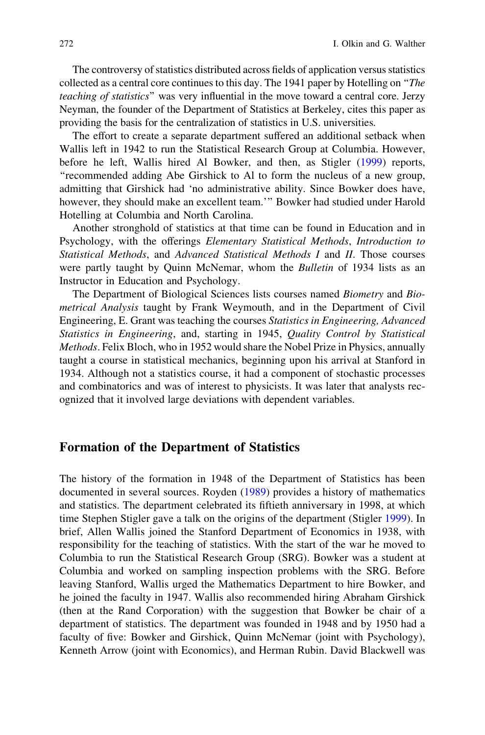The controversy of statistics distributed across fields of application versus statistics collected as a central core continues to this day. The 1941 paper by Hotelling on ''The teaching of statistics'' was very influential in the move toward a central core. Jerzy Neyman, the founder of the Department of Statistics at Berkeley, cites this paper as providing the basis for the centralization of statistics in U.S. universities.

The effort to create a separate department suffered an additional setback when Wallis left in 1942 to run the Statistical Research Group at Columbia. However, before he left, Wallis hired Al Bowker, and then, as Stigler ([1999\)](#page-14-0) reports, ''recommended adding Abe Girshick to Al to form the nucleus of a new group, admitting that Girshick had 'no administrative ability. Since Bowker does have, however, they should make an excellent team.''' Bowker had studied under Harold Hotelling at Columbia and North Carolina.

Another stronghold of statistics at that time can be found in Education and in Psychology, with the offerings Elementary Statistical Methods, Introduction to Statistical Methods, and Advanced Statistical Methods I and II. Those courses were partly taught by Quinn McNemar, whom the *Bulletin* of 1934 lists as an Instructor in Education and Psychology.

The Department of Biological Sciences lists courses named Biometry and Biometrical Analysis taught by Frank Weymouth, and in the Department of Civil Engineering, E. Grant was teaching the courses Statistics in Engineering, Advanced Statistics in Engineering, and, starting in 1945, Quality Control by Statistical Methods. Felix Bloch, who in 1952 would share the Nobel Prize in Physics, annually taught a course in statistical mechanics, beginning upon his arrival at Stanford in 1934. Although not a statistics course, it had a component of stochastic processes and combinatorics and was of interest to physicists. It was later that analysts recognized that it involved large deviations with dependent variables.

#### Formation of the Department of Statistics

The history of the formation in 1948 of the Department of Statistics has been documented in several sources. Royden [\(1989](#page-14-0)) provides a history of mathematics and statistics. The department celebrated its fiftieth anniversary in 1998, at which time Stephen Stigler gave a talk on the origins of the department (Stigler [1999\)](#page-14-0). In brief, Allen Wallis joined the Stanford Department of Economics in 1938, with responsibility for the teaching of statistics. With the start of the war he moved to Columbia to run the Statistical Research Group (SRG). Bowker was a student at Columbia and worked on sampling inspection problems with the SRG. Before leaving Stanford, Wallis urged the Mathematics Department to hire Bowker, and he joined the faculty in 1947. Wallis also recommended hiring Abraham Girshick (then at the Rand Corporation) with the suggestion that Bowker be chair of a department of statistics. The department was founded in 1948 and by 1950 had a faculty of five: Bowker and Girshick, Quinn McNemar (joint with Psychology), Kenneth Arrow (joint with Economics), and Herman Rubin. David Blackwell was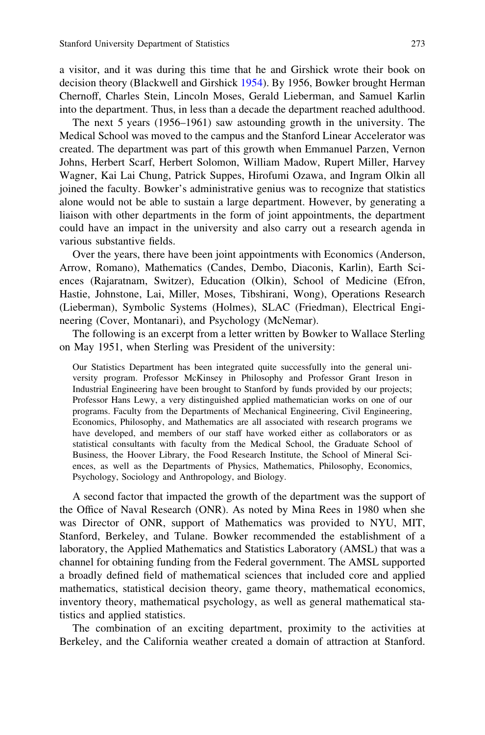a visitor, and it was during this time that he and Girshick wrote their book on decision theory (Blackwell and Girshick [1954](#page-14-0)). By 1956, Bowker brought Herman Chernoff, Charles Stein, Lincoln Moses, Gerald Lieberman, and Samuel Karlin into the department. Thus, in less than a decade the department reached adulthood.

The next 5 years (1956–1961) saw astounding growth in the university. The Medical School was moved to the campus and the Stanford Linear Accelerator was created. The department was part of this growth when Emmanuel Parzen, Vernon Johns, Herbert Scarf, Herbert Solomon, William Madow, Rupert Miller, Harvey Wagner, Kai Lai Chung, Patrick Suppes, Hirofumi Ozawa, and Ingram Olkin all joined the faculty. Bowker's administrative genius was to recognize that statistics alone would not be able to sustain a large department. However, by generating a liaison with other departments in the form of joint appointments, the department could have an impact in the university and also carry out a research agenda in various substantive fields.

Over the years, there have been joint appointments with Economics (Anderson, Arrow, Romano), Mathematics (Candes, Dembo, Diaconis, Karlin), Earth Sciences (Rajaratnam, Switzer), Education (Olkin), School of Medicine (Efron, Hastie, Johnstone, Lai, Miller, Moses, Tibshirani, Wong), Operations Research (Lieberman), Symbolic Systems (Holmes), SLAC (Friedman), Electrical Engineering (Cover, Montanari), and Psychology (McNemar).

The following is an excerpt from a letter written by Bowker to Wallace Sterling on May 1951, when Sterling was President of the university:

Our Statistics Department has been integrated quite successfully into the general university program. Professor McKinsey in Philosophy and Professor Grant Ireson in Industrial Engineering have been brought to Stanford by funds provided by our projects; Professor Hans Lewy, a very distinguished applied mathematician works on one of our programs. Faculty from the Departments of Mechanical Engineering, Civil Engineering, Economics, Philosophy, and Mathematics are all associated with research programs we have developed, and members of our staff have worked either as collaborators or as statistical consultants with faculty from the Medical School, the Graduate School of Business, the Hoover Library, the Food Research Institute, the School of Mineral Sciences, as well as the Departments of Physics, Mathematics, Philosophy, Economics, Psychology, Sociology and Anthropology, and Biology.

A second factor that impacted the growth of the department was the support of the Office of Naval Research (ONR). As noted by Mina Rees in 1980 when she was Director of ONR, support of Mathematics was provided to NYU, MIT, Stanford, Berkeley, and Tulane. Bowker recommended the establishment of a laboratory, the Applied Mathematics and Statistics Laboratory (AMSL) that was a channel for obtaining funding from the Federal government. The AMSL supported a broadly defined field of mathematical sciences that included core and applied mathematics, statistical decision theory, game theory, mathematical economics, inventory theory, mathematical psychology, as well as general mathematical statistics and applied statistics.

The combination of an exciting department, proximity to the activities at Berkeley, and the California weather created a domain of attraction at Stanford.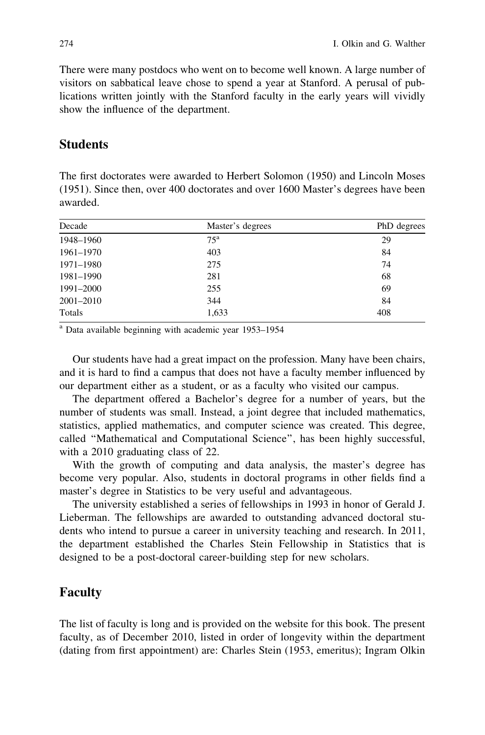There were many postdocs who went on to become well known. A large number of visitors on sabbatical leave chose to spend a year at Stanford. A perusal of publications written jointly with the Stanford faculty in the early years will vividly show the influence of the department.

### **Students**

The first doctorates were awarded to Herbert Solomon (1950) and Lincoln Moses (1951). Since then, over 400 doctorates and over 1600 Master's degrees have been awarded.

| Decade    | Master's degrees | PhD degrees |
|-----------|------------------|-------------|
| 1948-1960 | 75 <sup>a</sup>  | 29          |
| 1961-1970 | 403              | 84          |
| 1971-1980 | 275              | 74          |
| 1981-1990 | 281              | 68          |
| 1991-2000 | 255              | 69          |
| 2001-2010 | 344              | 84          |
| Totals    | 1,633            | 408         |

<sup>a</sup> Data available beginning with academic year 1953–1954

Our students have had a great impact on the profession. Many have been chairs, and it is hard to find a campus that does not have a faculty member influenced by our department either as a student, or as a faculty who visited our campus.

The department offered a Bachelor's degree for a number of years, but the number of students was small. Instead, a joint degree that included mathematics, statistics, applied mathematics, and computer science was created. This degree, called ''Mathematical and Computational Science'', has been highly successful, with a 2010 graduating class of 22.

With the growth of computing and data analysis, the master's degree has become very popular. Also, students in doctoral programs in other fields find a master's degree in Statistics to be very useful and advantageous.

The university established a series of fellowships in 1993 in honor of Gerald J. Lieberman. The fellowships are awarded to outstanding advanced doctoral students who intend to pursue a career in university teaching and research. In 2011, the department established the Charles Stein Fellowship in Statistics that is designed to be a post-doctoral career-building step for new scholars.

## Faculty

The list of faculty is long and is provided on the website for this book. The present faculty, as of December 2010, listed in order of longevity within the department (dating from first appointment) are: Charles Stein (1953, emeritus); Ingram Olkin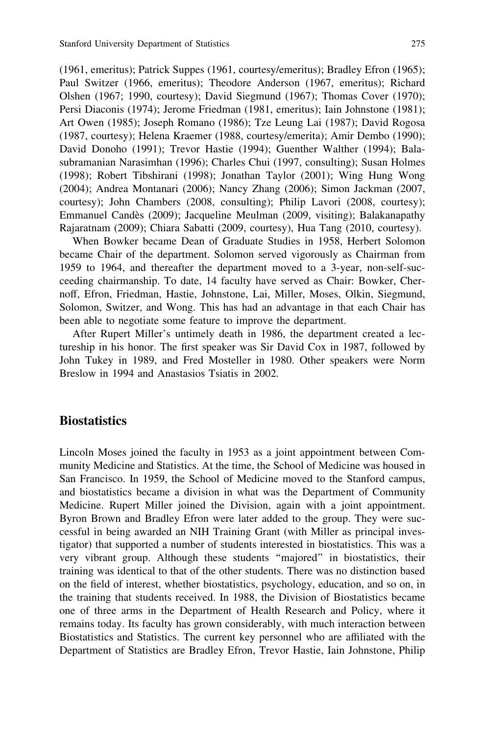(1961, emeritus); Patrick Suppes (1961, courtesy/emeritus); Bradley Efron (1965); Paul Switzer (1966, emeritus); Theodore Anderson (1967, emeritus); Richard Olshen (1967; 1990, courtesy); David Siegmund (1967); Thomas Cover (1970); Persi Diaconis (1974); Jerome Friedman (1981, emeritus); Iain Johnstone (1981); Art Owen (1985); Joseph Romano (1986); Tze Leung Lai (1987); David Rogosa (1987, courtesy); Helena Kraemer (1988, courtesy/emerita); Amir Dembo (1990); David Donoho (1991); Trevor Hastie (1994); Guenther Walther (1994); Balasubramanian Narasimhan (1996); Charles Chui (1997, consulting); Susan Holmes (1998); Robert Tibshirani (1998); Jonathan Taylor (2001); Wing Hung Wong (2004); Andrea Montanari (2006); Nancy Zhang (2006); Simon Jackman (2007, courtesy); John Chambers (2008, consulting); Philip Lavori (2008, courtesy); Emmanuel Candès (2009); Jacqueline Meulman (2009, visiting); Balakanapathy Rajaratnam (2009); Chiara Sabatti (2009, courtesy), Hua Tang (2010, courtesy).

When Bowker became Dean of Graduate Studies in 1958, Herbert Solomon became Chair of the department. Solomon served vigorously as Chairman from 1959 to 1964, and thereafter the department moved to a 3-year, non-self-succeeding chairmanship. To date, 14 faculty have served as Chair: Bowker, Chernoff, Efron, Friedman, Hastie, Johnstone, Lai, Miller, Moses, Olkin, Siegmund, Solomon, Switzer, and Wong. This has had an advantage in that each Chair has been able to negotiate some feature to improve the department.

After Rupert Miller's untimely death in 1986, the department created a lectureship in his honor. The first speaker was Sir David Cox in 1987, followed by John Tukey in 1989, and Fred Mosteller in 1980. Other speakers were Norm Breslow in 1994 and Anastasios Tsiatis in 2002.

#### **Biostatistics**

Lincoln Moses joined the faculty in 1953 as a joint appointment between Community Medicine and Statistics. At the time, the School of Medicine was housed in San Francisco. In 1959, the School of Medicine moved to the Stanford campus, and biostatistics became a division in what was the Department of Community Medicine. Rupert Miller joined the Division, again with a joint appointment. Byron Brown and Bradley Efron were later added to the group. They were successful in being awarded an NIH Training Grant (with Miller as principal investigator) that supported a number of students interested in biostatistics. This was a very vibrant group. Although these students ''majored'' in biostatistics, their training was identical to that of the other students. There was no distinction based on the field of interest, whether biostatistics, psychology, education, and so on, in the training that students received. In 1988, the Division of Biostatistics became one of three arms in the Department of Health Research and Policy, where it remains today. Its faculty has grown considerably, with much interaction between Biostatistics and Statistics. The current key personnel who are affiliated with the Department of Statistics are Bradley Efron, Trevor Hastie, Iain Johnstone, Philip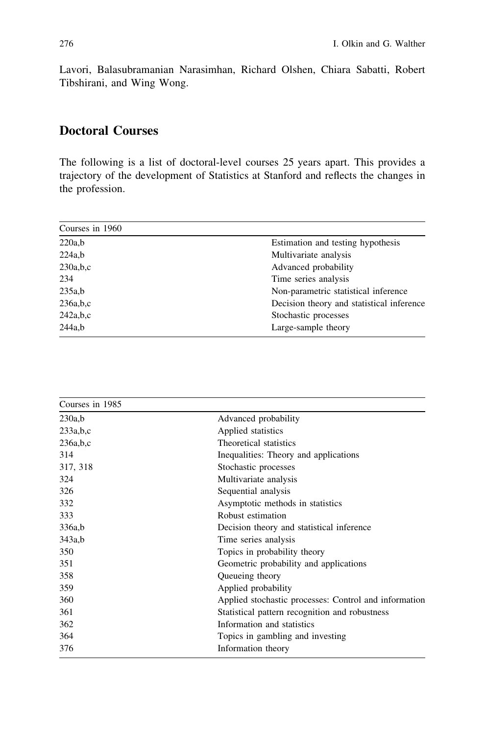Lavori, Balasubramanian Narasimhan, Richard Olshen, Chiara Sabatti, Robert Tibshirani, and Wing Wong.

## Doctoral Courses

The following is a list of doctoral-level courses 25 years apart. This provides a trajectory of the development of Statistics at Stanford and reflects the changes in the profession.

| Courses in 1960 |                                           |
|-----------------|-------------------------------------------|
| 220a,b          | Estimation and testing hypothesis         |
| 224a,b          | Multivariate analysis                     |
| 230a,b,c        | Advanced probability                      |
| 234             | Time series analysis                      |
| 235a,b          | Non-parametric statistical inference      |
| 236a,b,c        | Decision theory and statistical inference |
| 242a,b,c        | Stochastic processes                      |
| $244a$ ,b       | Large-sample theory                       |

| Courses in 1985 |                                                       |
|-----------------|-------------------------------------------------------|
| 230a,b          | Advanced probability                                  |
| 233a,b,c        | Applied statistics                                    |
| 236a,b,c        | Theoretical statistics                                |
| 314             | Inequalities: Theory and applications                 |
| 317, 318        | Stochastic processes                                  |
| 324             | Multivariate analysis                                 |
| 326             | Sequential analysis                                   |
| 332             | Asymptotic methods in statistics                      |
| 333             | Robust estimation                                     |
| 336a,b          | Decision theory and statistical inference             |
| $343a$ ,b       | Time series analysis                                  |
| 350             | Topics in probability theory                          |
| 351             | Geometric probability and applications                |
| 358             | Queueing theory                                       |
| 359             | Applied probability                                   |
| 360             | Applied stochastic processes: Control and information |
| 361             | Statistical pattern recognition and robustness        |
| 362             | Information and statistics                            |
| 364             | Topics in gambling and investing                      |
| 376             | Information theory                                    |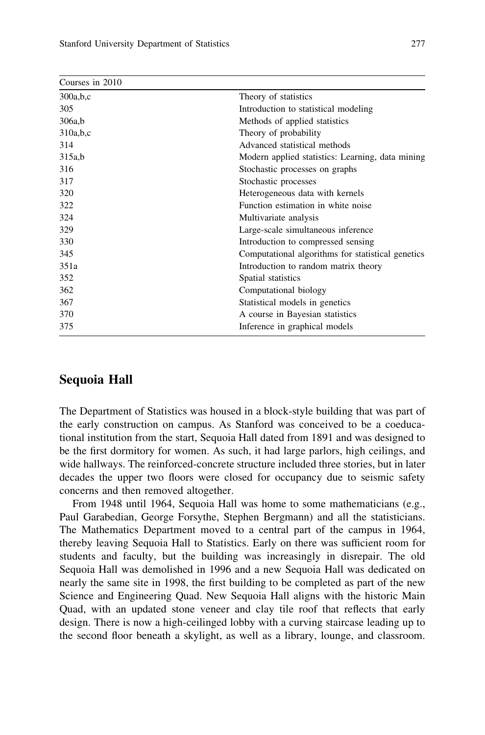| Courses in 2010 |                                                   |
|-----------------|---------------------------------------------------|
| 300a,b,c        | Theory of statistics                              |
| 305             | Introduction to statistical modeling              |
| 306a,b          | Methods of applied statistics                     |
| 310a,b,c        | Theory of probability                             |
| 314             | Advanced statistical methods                      |
| 315a,b          | Modern applied statistics: Learning, data mining  |
| 316             | Stochastic processes on graphs                    |
| 317             | Stochastic processes                              |
| 320             | Heterogeneous data with kernels                   |
| 322             | Function estimation in white noise                |
| 324             | Multivariate analysis                             |
| 329             | Large-scale simultaneous inference                |
| 330             | Introduction to compressed sensing                |
| 345             | Computational algorithms for statistical genetics |
| 351a            | Introduction to random matrix theory              |
| 352             | Spatial statistics                                |
| 362             | Computational biology                             |
| 367             | Statistical models in genetics                    |
| 370             | A course in Bayesian statistics                   |
| 375             | Inference in graphical models                     |
|                 |                                                   |

## Sequoia Hall

The Department of Statistics was housed in a block-style building that was part of the early construction on campus. As Stanford was conceived to be a coeducational institution from the start, Sequoia Hall dated from 1891 and was designed to be the first dormitory for women. As such, it had large parlors, high ceilings, and wide hallways. The reinforced-concrete structure included three stories, but in later decades the upper two floors were closed for occupancy due to seismic safety concerns and then removed altogether.

From 1948 until 1964, Sequoia Hall was home to some mathematicians (e.g., Paul Garabedian, George Forsythe, Stephen Bergmann) and all the statisticians. The Mathematics Department moved to a central part of the campus in 1964, thereby leaving Sequoia Hall to Statistics. Early on there was sufficient room for students and faculty, but the building was increasingly in disrepair. The old Sequoia Hall was demolished in 1996 and a new Sequoia Hall was dedicated on nearly the same site in 1998, the first building to be completed as part of the new Science and Engineering Quad. New Sequoia Hall aligns with the historic Main Quad, with an updated stone veneer and clay tile roof that reflects that early design. There is now a high-ceilinged lobby with a curving staircase leading up to the second floor beneath a skylight, as well as a library, lounge, and classroom.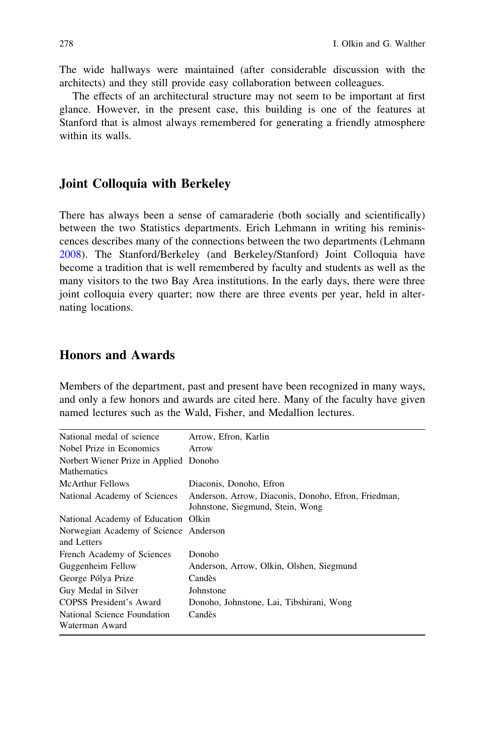The wide hallways were maintained (after considerable discussion with the architects) and they still provide easy collaboration between colleagues.

The effects of an architectural structure may not seem to be important at first glance. However, in the present case, this building is one of the features at Stanford that is almost always remembered for generating a friendly atmosphere within its walls.

#### Joint Colloquia with Berkeley

There has always been a sense of camaraderie (both socially and scientifically) between the two Statistics departments. Erich Lehmann in writing his reminiscences describes many of the connections between the two departments (Lehmann [2008\)](#page-14-0). The Stanford/Berkeley (and Berkeley/Stanford) Joint Colloquia have become a tradition that is well remembered by faculty and students as well as the many visitors to the two Bay Area institutions. In the early days, there were three joint colloquia every quarter; now there are three events per year, held in alternating locations.

## Honors and Awards

Members of the department, past and present have been recognized in many ways, and only a few honors and awards are cited here. Many of the faculty have given named lectures such as the Wald, Fisher, and Medallion lectures.

| National medal of science                            | Arrow, Efron, Karlin                                                                    |  |
|------------------------------------------------------|-----------------------------------------------------------------------------------------|--|
| Nobel Prize in Economics                             | Arrow                                                                                   |  |
| Norbert Wiener Prize in Applied Donoho               |                                                                                         |  |
| <b>Mathematics</b>                                   |                                                                                         |  |
| McArthur Fellows                                     | Diaconis, Donoho, Efron                                                                 |  |
| National Academy of Sciences                         | Anderson, Arrow, Diaconis, Donoho, Efron, Friedman,<br>Johnstone, Siegmund, Stein, Wong |  |
| National Academy of Education Olkin                  |                                                                                         |  |
| Norwegian Academy of Science Anderson<br>and Letters |                                                                                         |  |
| French Academy of Sciences                           | Donoho                                                                                  |  |
| Guggenheim Fellow                                    | Anderson, Arrow, Olkin, Olshen, Siegmund                                                |  |
| George Pólya Prize                                   | Candès                                                                                  |  |
| Guy Medal in Silver                                  | Johnstone                                                                               |  |
| <b>COPSS President's Award</b>                       | Donoho, Johnstone, Lai, Tibshirani, Wong                                                |  |
| National Science Foundation<br>Waterman Award        | Candès                                                                                  |  |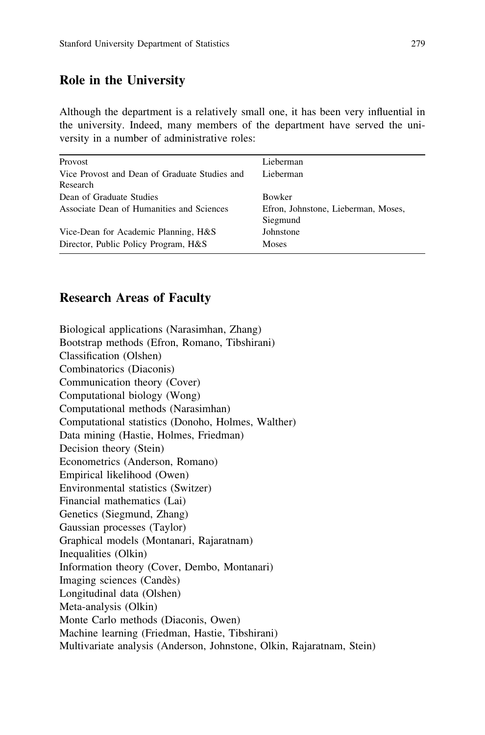## Role in the University

Although the department is a relatively small one, it has been very influential in the university. Indeed, many members of the department have served the university in a number of administrative roles:

| Provost                                                   | Lieberman                                       |
|-----------------------------------------------------------|-------------------------------------------------|
| Vice Provost and Dean of Graduate Studies and<br>Research | Lieberman                                       |
| Dean of Graduate Studies                                  | Bowker                                          |
| Associate Dean of Humanities and Sciences                 | Efron, Johnstone, Lieberman, Moses,<br>Siegmund |
| Vice-Dean for Academic Planning, H&S                      | Johnstone                                       |
| Director, Public Policy Program, H&S                      | <b>Moses</b>                                    |
|                                                           |                                                 |

## Research Areas of Faculty

Biological applications (Narasimhan, Zhang) Bootstrap methods (Efron, Romano, Tibshirani) Classification (Olshen) Combinatorics (Diaconis) Communication theory (Cover) Computational biology (Wong) Computational methods (Narasimhan) Computational statistics (Donoho, Holmes, Walther) Data mining (Hastie, Holmes, Friedman) Decision theory (Stein) Econometrics (Anderson, Romano) Empirical likelihood (Owen) Environmental statistics (Switzer) Financial mathematics (Lai) Genetics (Siegmund, Zhang) Gaussian processes (Taylor) Graphical models (Montanari, Rajaratnam) Inequalities (Olkin) Information theory (Cover, Dembo, Montanari) Imaging sciences (Candès) Longitudinal data (Olshen) Meta-analysis (Olkin) Monte Carlo methods (Diaconis, Owen) Machine learning (Friedman, Hastie, Tibshirani) Multivariate analysis (Anderson, Johnstone, Olkin, Rajaratnam, Stein)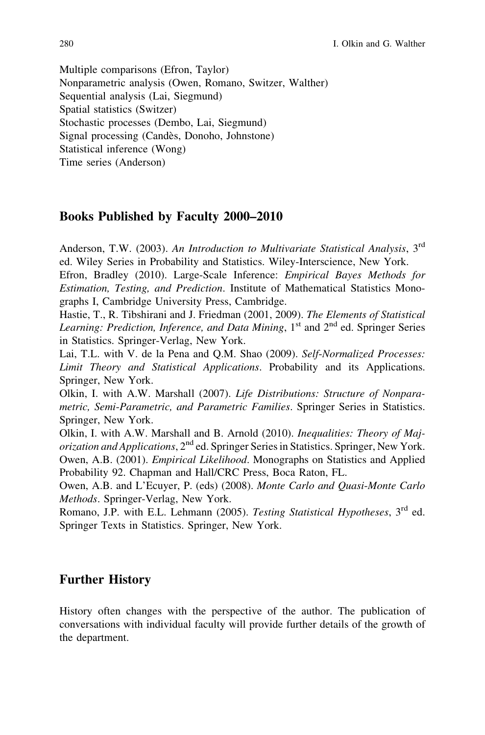Multiple comparisons (Efron, Taylor) Nonparametric analysis (Owen, Romano, Switzer, Walther) Sequential analysis (Lai, Siegmund) Spatial statistics (Switzer) Stochastic processes (Dembo, Lai, Siegmund) Signal processing (Candès, Donoho, Johnstone) Statistical inference (Wong) Time series (Anderson)

## Books Published by Faculty 2000–2010

Anderson, T.W. (2003). An Introduction to Multivariate Statistical Analysis, 3<sup>rd</sup> ed. Wiley Series in Probability and Statistics. Wiley-Interscience, New York.

Efron, Bradley (2010). Large-Scale Inference: Empirical Bayes Methods for Estimation, Testing, and Prediction. Institute of Mathematical Statistics Monographs I, Cambridge University Press, Cambridge.

Hastie, T., R. Tibshirani and J. Friedman (2001, 2009). The Elements of Statistical *Learning: Prediction, Inference, and Data Mining,*  $1<sup>st</sup>$  and  $2<sup>nd</sup>$  ed. Springer Series in Statistics. Springer-Verlag, New York.

Lai, T.L. with V. de la Pena and Q.M. Shao (2009). Self-Normalized Processes: Limit Theory and Statistical Applications. Probability and its Applications. Springer, New York.

Olkin, I. with A.W. Marshall (2007). Life Distributions: Structure of Nonparametric, Semi-Parametric, and Parametric Families. Springer Series in Statistics. Springer, New York.

Olkin, I. with A.W. Marshall and B. Arnold (2010). Inequalities: Theory of Majorization and Applications, 2<sup>nd</sup> ed. Springer Series in Statistics. Springer, New York. Owen, A.B. (2001). Empirical Likelihood. Monographs on Statistics and Applied Probability 92. Chapman and Hall/CRC Press, Boca Raton, FL.

Owen, A.B. and L'Ecuyer, P. (eds) (2008). Monte Carlo and Quasi-Monte Carlo Methods. Springer-Verlag, New York.

Romano, J.P. with E.L. Lehmann (2005). Testing Statistical Hypotheses, 3<sup>rd</sup> ed. Springer Texts in Statistics. Springer, New York.

## Further History

History often changes with the perspective of the author. The publication of conversations with individual faculty will provide further details of the growth of the department.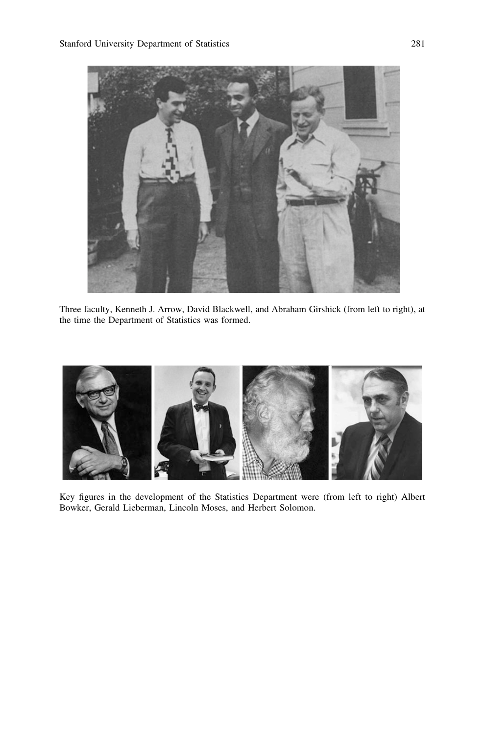

Three faculty, Kenneth J. Arrow, David Blackwell, and Abraham Girshick (from left to right), at the time the Department of Statistics was formed.



Key figures in the development of the Statistics Department were (from left to right) Albert Bowker, Gerald Lieberman, Lincoln Moses, and Herbert Solomon.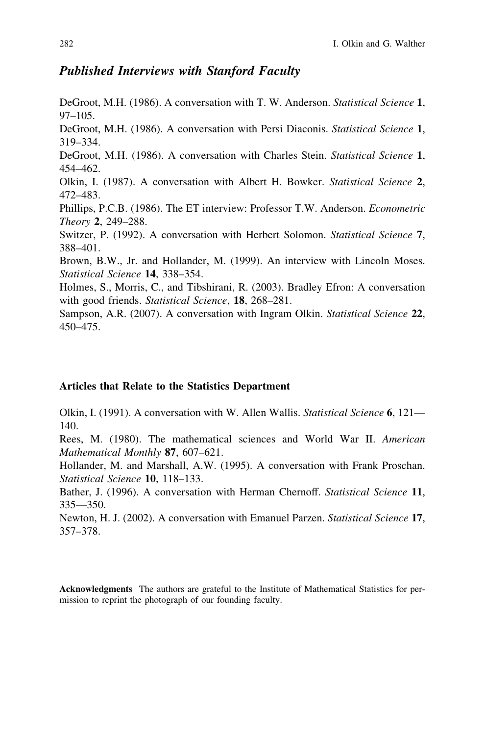## Published Interviews with Stanford Faculty

DeGroot, M.H. (1986). A conversation with T. W. Anderson. *Statistical Science* 1, 97–105.

DeGroot, M.H. (1986). A conversation with Persi Diaconis. Statistical Science 1, 319–334.

DeGroot, M.H. (1986). A conversation with Charles Stein. Statistical Science 1, 454–462.

Olkin, I. (1987). A conversation with Albert H. Bowker. Statistical Science 2, 472–483.

Phillips, P.C.B. (1986). The ET interview: Professor T.W. Anderson. Econometric Theory 2, 249–288.

Switzer, P. (1992). A conversation with Herbert Solomon. Statistical Science 7, 388–401.

Brown, B.W., Jr. and Hollander, M. (1999). An interview with Lincoln Moses. Statistical Science 14, 338–354.

Holmes, S., Morris, C., and Tibshirani, R. (2003). Bradley Efron: A conversation with good friends. Statistical Science, 18, 268-281.

Sampson, A.R. (2007). A conversation with Ingram Olkin. *Statistical Science* 22, 450–475.

#### Articles that Relate to the Statistics Department

Olkin, I. (1991). A conversation with W. Allen Wallis. Statistical Science 6, 121— 140.

Rees, M. (1980). The mathematical sciences and World War II. American Mathematical Monthly 87, 607–621.

Hollander, M. and Marshall, A.W. (1995). A conversation with Frank Proschan. Statistical Science 10, 118–133.

Bather, J. (1996). A conversation with Herman Chernoff. Statistical Science 11, 335—350.

Newton, H. J. (2002). A conversation with Emanuel Parzen. Statistical Science 17, 357–378.

Acknowledgments The authors are grateful to the Institute of Mathematical Statistics for permission to reprint the photograph of our founding faculty.